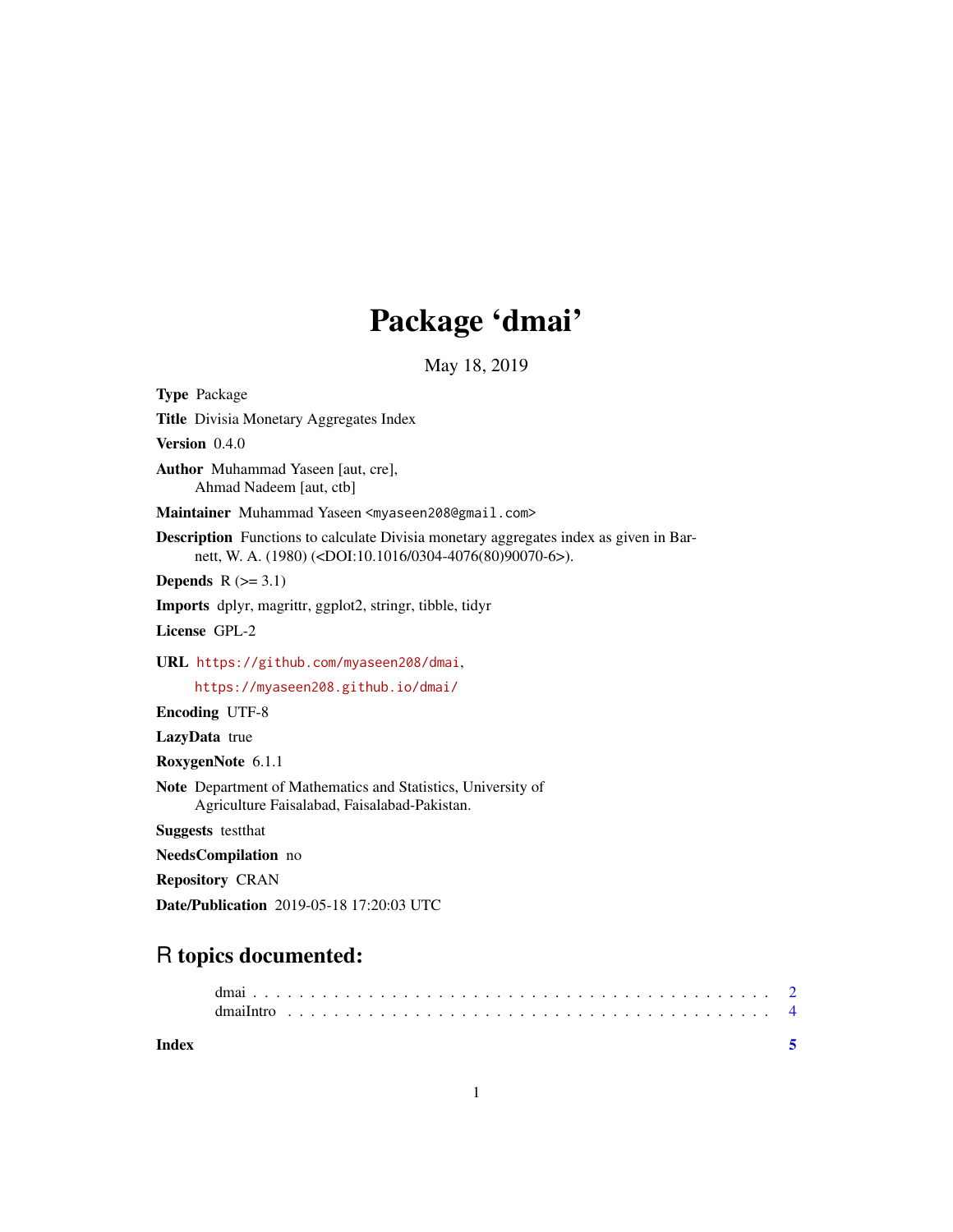## Package 'dmai'

May 18, 2019

| <b>Type Package</b>                                                                                                                                                        |
|----------------------------------------------------------------------------------------------------------------------------------------------------------------------------|
| <b>Title</b> Divisia Monetary Aggregates Index                                                                                                                             |
| <b>Version</b> $0.4.0$                                                                                                                                                     |
| <b>Author</b> Muhammad Yaseen [aut, cre],<br>Ahmad Nadeem [aut, ctb]                                                                                                       |
| Maintainer Muhammad Yaseen <myaseen208@gmail.com></myaseen208@gmail.com>                                                                                                   |
| <b>Description</b> Functions to calculate Divisia monetary aggregates index as given in Bar-<br>nett, W. A. (1980) ( <doi:10.1016 0304-4076(80)90070-6="">).</doi:10.1016> |
| <b>Depends</b> $R$ ( $>=$ 3.1)                                                                                                                                             |
| <b>Imports</b> dplyr, magrittr, ggplot2, stringr, tibble, tidyr                                                                                                            |
| License GPL-2                                                                                                                                                              |
| URL https://github.com/myaseen208/dmai,                                                                                                                                    |
| https://myaseen208.github.io/dmai/                                                                                                                                         |
| <b>Encoding UTF-8</b>                                                                                                                                                      |
| LazyData true                                                                                                                                                              |
| RoxygenNote 6.1.1                                                                                                                                                          |
| Note Department of Mathematics and Statistics, University of<br>Agriculture Faisalabad, Faisalabad-Pakistan.                                                               |
| <b>Suggests</b> testthat                                                                                                                                                   |
| NeedsCompilation no                                                                                                                                                        |
| <b>Repository CRAN</b>                                                                                                                                                     |
| <b>Date/Publication</b> 2019-05-18 17:20:03 UTC                                                                                                                            |

### R topics documented:

**Index** [5](#page-4-0). The second state of the second state of the second state of the second state of the second state of the second state of the second state of the second state of the second state of the second state of the second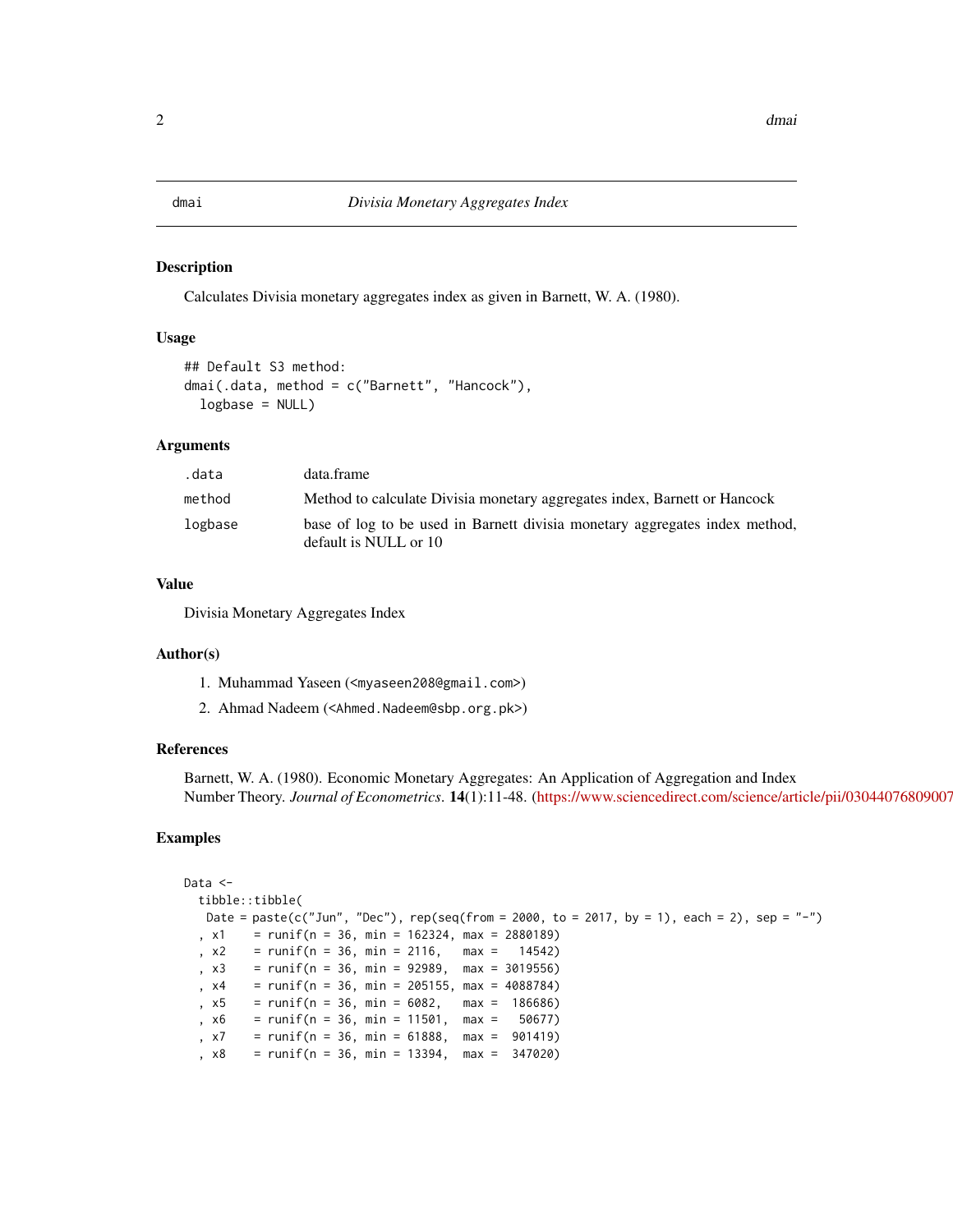#### <span id="page-1-0"></span>Description

Calculates Divisia monetary aggregates index as given in Barnett, W. A. (1980).

#### Usage

```
## Default S3 method:
dmai(.data, method = c("Barnett", "Hancock"),
  logbase = NULL)
```
#### Arguments

| .data   | data.frame                                                                                           |
|---------|------------------------------------------------------------------------------------------------------|
| method  | Method to calculate Divisia monetary aggregates index, Barnett or Hancock                            |
| logbase | base of log to be used in Barnett divisia monetary aggregates index method,<br>default is NULL or 10 |

#### Value

Divisia Monetary Aggregates Index

#### Author(s)

- 1. Muhammad Yaseen (<myaseen208@gmail.com>)
- 2. Ahmad Nadeem (<Ahmed.Nadeem@sbp.org.pk>)

#### References

Barnett, W. A. (1980). Economic Monetary Aggregates: An Application of Aggregation and Index Number Theory. *Journal of Econometrics*. 14(1):11-48. (https://www.sciencedirect.com/science/article/pii/03044076809007

### Examples

```
Data <-
  tibble::tibble(
  Date = paste(c("Jun", "Dec"), rep(seq(from = 2000, to = 2017, by = 1), each = 2), sep = "-"), x1 = runif(n = 36, min = 162324, max = 2880189), x2 = runif(n = 36, min = 2116, max = 14542), x3 = runif(n = 36, min = 92989, max = 3019556)
  x x4 = runif(n = 36, min = 205155, max = 4088784)<br>
x x5 = runif(n = 36, min = 6082, max = 186686)
          = runif(n = 36, min = 6082, max = 186686)
  , x6 = runif(n = 36, min = 11501, max = 50677)
  , x7 = runif(n = 36, min = 61888, max = 901419), x8 = runif(n = 36, min = 13394, max = 347020)
```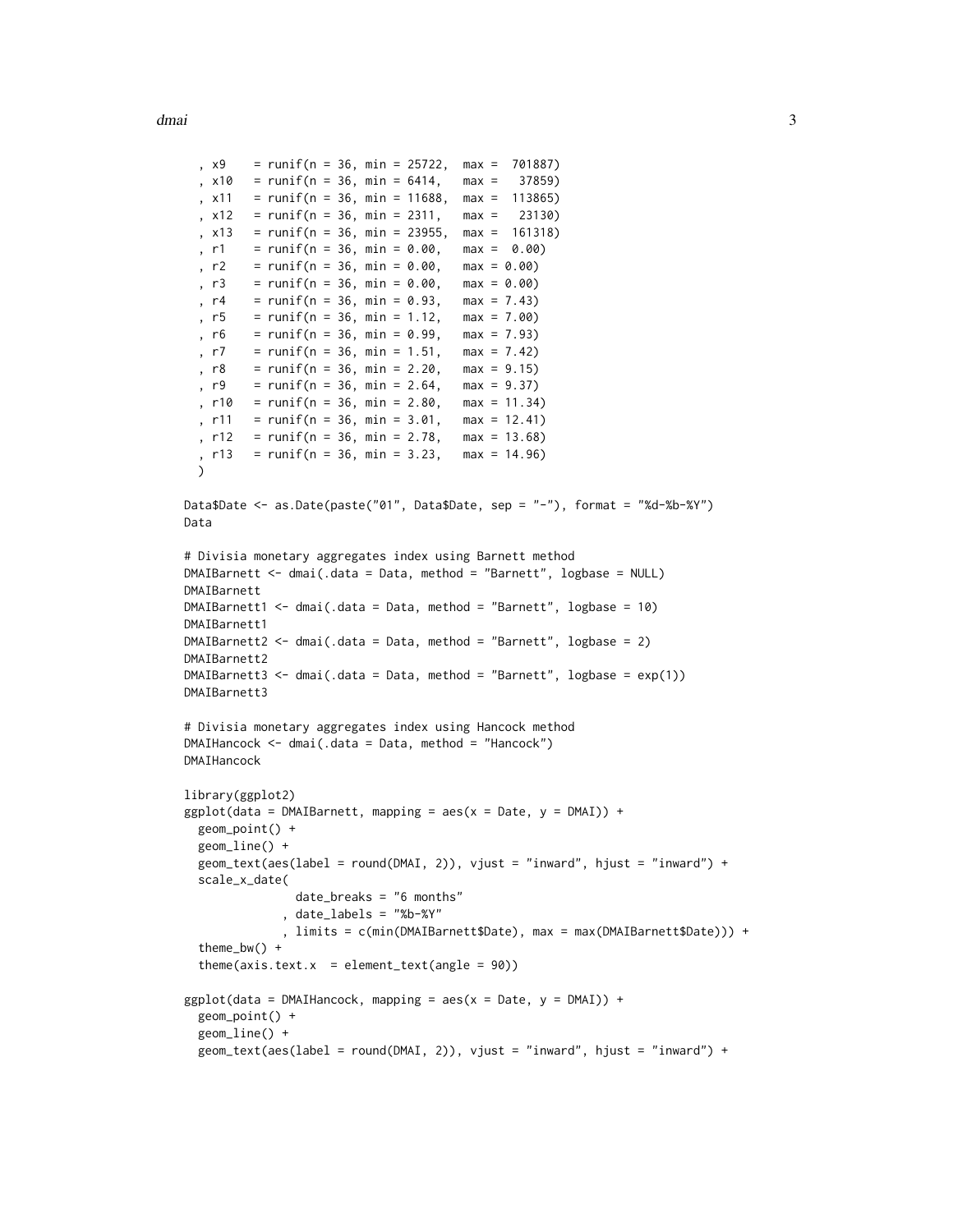```
, x9 = runif(n = 36, min = 25722, max = 701887), x10 = runif(n = 36, min = 6414, max = 37859), x11 = runif(n = 36, min = 11688, max = 113865)
 , x12 = runif(n = 36, min = 2311, max = 23130)
 , x13 = runif(n = 36, min = 23955, max = 161318)
 , r1 = runif(n = 36, min = 0.00, max = 0.00), r2 = runif(n = 36, min = 0.00, max = 0.00), r3 = runif(n = 36, min = 0.00, max = 0.00), r4 = runif(n = 36, min = 0.93, max = 7.43)
 , r5 = runif(n = 36, min = 1.12, max = 7.00)
  , r6 = runif(n = 36, min = 0.99, max = 7.93)
 , r7 = runif(n = 36, min = 1.51, max = 7.42)
  , r8 = runif(n = 36, min = 2.20, max = 9.15)
 , r9 = runif(n = 36, min = 2.64, max = 9.37)
 , r10 = runif(n = 36, min = 2.80, max = 11.34)
 , r11 = runif(n = 36, min = 3.01, max = 12.41)
 , r12 = runif(n = 36, min = 2.78, max = 13.68)
 , r13 = runif(n = 36, min = 3.23, max = 14.96)
 \lambdaData$Date <- as.Date(paste("01", Data$Date, sep = "-"), format = "%d-%b-%Y")
Data
# Divisia monetary aggregates index using Barnett method
DMAIBarnett <- dmai(.data = Data, method = "Barnett", logbase = NULL)
DMAIBarnett
DMAIBarnett1 \leq dmai(.data = Data, method = "Barnett", logbase = 10)
DMAIBarnett1
DMAIBarnett2 <- dmai(.data = Data, method = "Barnett", logbase = 2)
DMAIBarnett2
DMAIBarnett3 <- dmai(.data = Data, method = "Barnett", logbase = exp(1))
DMAIBarnett3
# Divisia monetary aggregates index using Hancock method
DMAIHancock <- dmai(.data = Data, method = "Hancock")
DMAIHancock
library(ggplot2)
ggplot(data = DMAIBarnett, mapping = aes(x = Date, y = DMAI)) +geom_point() +
 geom_line() +
 geom_text(aes(label = round(DMAI, 2)), vjust = "inward", hjust = "inward") +
 scale_x_date(
               date_breaks = "6 months"
             , date_labels = "%b-%Y"
             , limits = c(min(DMAIBarnett$Date), max = max(DMAIBarnett$Date))) +
 theme_bw() +
 theme(axis.text.x = element_text(angle = 90))
ggplot(data = DMAIHancock, mapping = aes(x = Date, y = DMAI)) +geom_point() +
 geom_line() +
 geom_text(aes(label = round(DMAI, 2)), vjust = "inward", hjust = "inward") +
```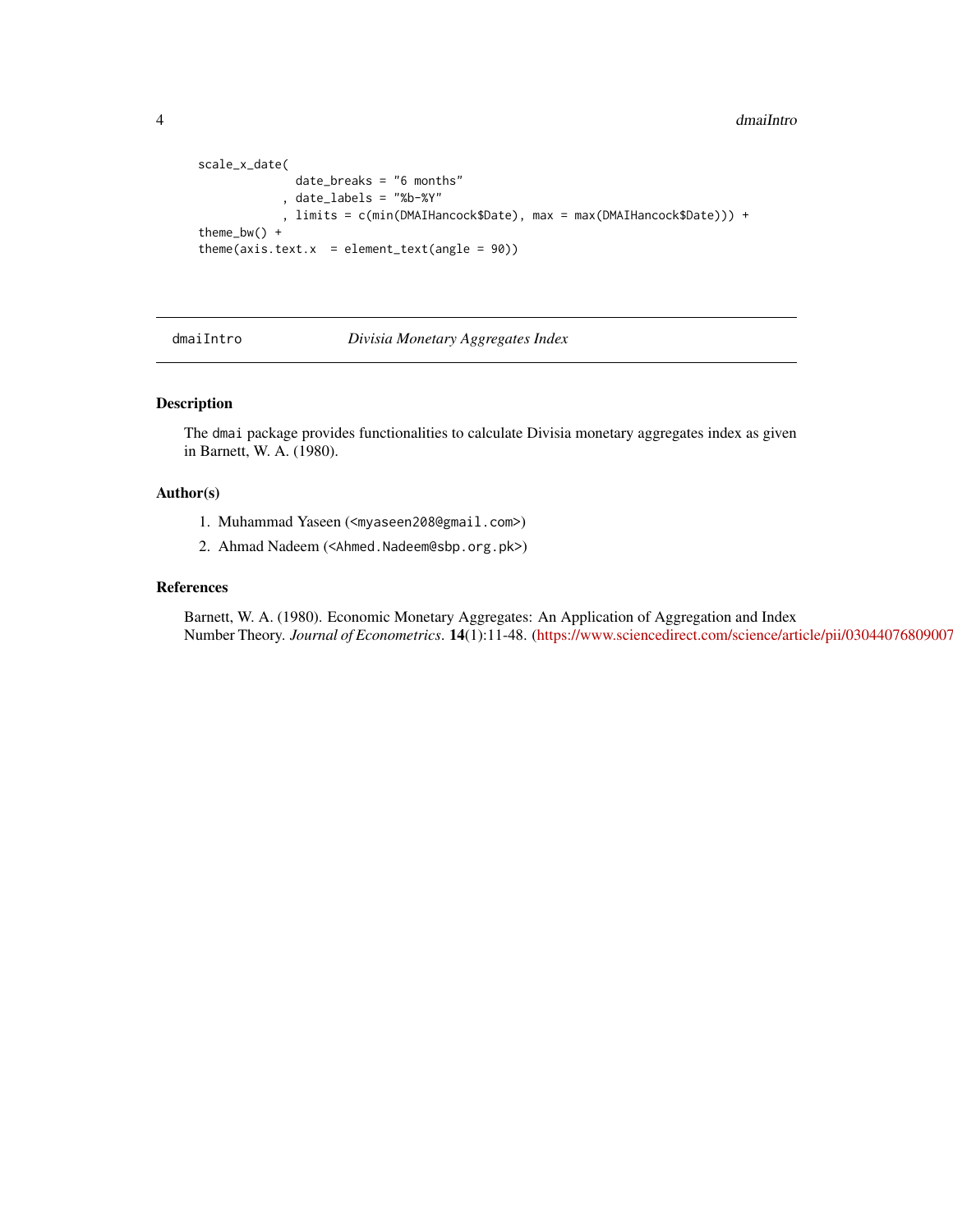```
scale_x_date(
              date_breaks = "6 months"
            , date_labels = "%b-%Y"
            , limits = c(min(DMAIHancock$Date), max = max(DMAIHancock$Date))) +
theme_bw() +
theme(axis.text.x = element_text(angle = 90))
```
dmaiIntro *Divisia Monetary Aggregates Index*

#### Description

The dmai package provides functionalities to calculate Divisia monetary aggregates index as given in Barnett, W. A. (1980).

#### Author(s)

- 1. Muhammad Yaseen (<myaseen208@gmail.com>)
- 2. Ahmad Nadeem (<Ahmed.Nadeem@sbp.org.pk>)

#### References

Barnett, W. A. (1980). Economic Monetary Aggregates: An Application of Aggregation and Index Number Theory. *Journal of Econometrics*. 14(1):11-48. (https://www.sciencedirect.com/science/article/pii/03044076809007